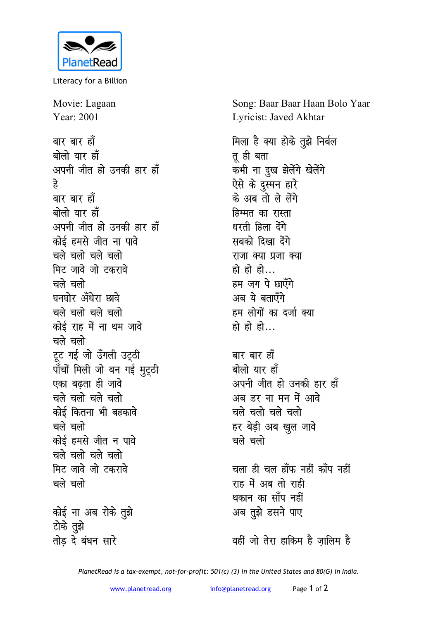

Literacy for a Billion

Movie: Lagaan Year: 2001 बार बार हाँ बोलो यार हाँ अपनी जीत हो उनकी हार हाँ हे बार बार हाँ बोलो यार हाँ अपनी जीत हो उनकी हार हाँ कोई हमसे जीत ना पावे चले चलो चले चलो मिट जावे जो टकरावे चले चलो घनघोर अँधेरा छावे चले चलो चले चलो कोई राह में ना थम जावे चले चलो टूट गई जो उँगली उट्ठी पाँचों मिली जो बन गई मुट्ठी एका बढता ही जावे चले चलो चले चलो कोई कितना भी बहकावे चले चलो कोई हमसे जीत न पावे चले चलो चले चलो मिट जावे जो टकरावे चले चलो कोई ना अब रोके तुझे टोके तुझे

तोड़ दे बंधन सारे

Song: Baar Baar Haan Bolo Yaar Lyricist: Javed Akhtar

मिला है क्या होके तुझे निर्बल तू ही बता कभी ना दुख झेलेंगे खेलेंगे ऐसे के दुस्मन हारे के अब तो ले लेंगे हिम्मत का रास्ता धरती हिला देंगे सबको दिखा देंगे राजा क्या प्रजा क्या हो हो हो... हम जग पे छाएँगे अब ये बताएँगे हम लोगों का दर्जा क्या हो हो हो $\ldots$ 

बार बार हाँ बोलो यार हाँ अपनी जीत हो उनकी हार हाँ अब डर ना मन में आवे चले चलो चले चलो हर बेड़ी अब खुल जावे चले चलो

चला ही चल हाँफ नहीं काँप नहीं राह में अब तो राही थकान का साँप नहीं अब तुझे डसने पाए

वहीं जो तेरा हाकिम है जालिम है

PlanetRead is a tax-exempt, not-for-profit: 501(c) (3) in the United States and 80(G) in India.